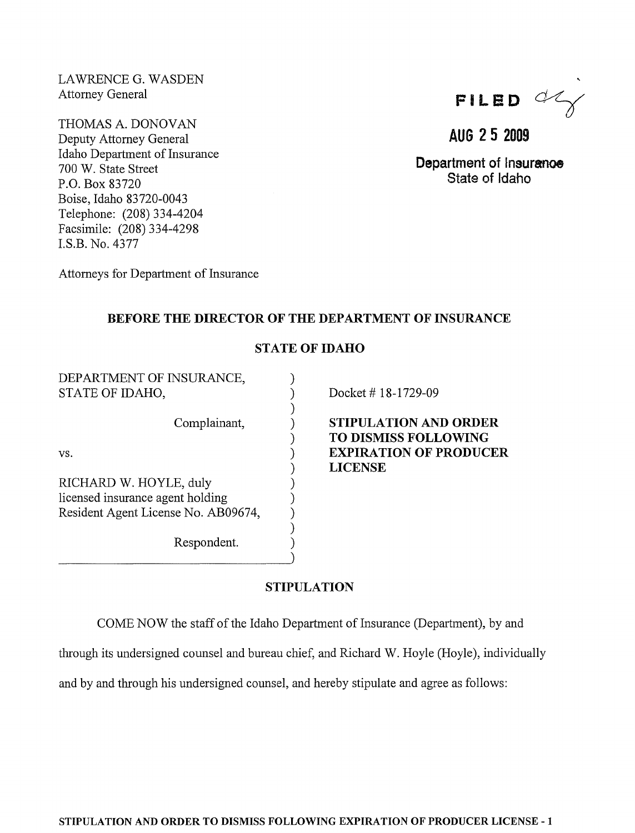LAWRENCE G. WASDEN Attorney General

THOMAS A. DONOVAN Deputy Attorney General Idaho Department of Insurance 700 W. State Street P.O. Box 83720 Boise, Idaho 83720-0043 Telephone: (208) 334-4204 Facsimile: (208) 334-4298 LS.B. No. 4377

FILED  $\alpha$ 

AUG 25 2009

Department of Insuranoe State of Idaho

Attorneys for Department of Insurance

## BEFORE THE DIRECTOR OF THE DEPARTMENT OF INSURANCE

## STATE OF IDAHO

) ) ) ) ) ) ) ) ) ) ) ) )

DEPARTMENT OF INSURANCE, STATE OF IDAHO,

Complainant,

vs.

RICHARD W. HOYLE, duly licensed insurance agent holding Resident Agent License No. AB09674,

Respondent.

Docket # 18-1729-09

STIPULATION AND ORDER TO DISMISS FOLLOWING EXPIRATION OF PRODUCER LICENSE

# STIPULATION

COME NOW the staff of the Idaho Department of Insurance (Department), by and

through its undersigned counsel and bureau chief, and Richard W. Hoyle (Hoyle), individually

and by and through his undersigned counsel, and hereby stipulate and agree as follows: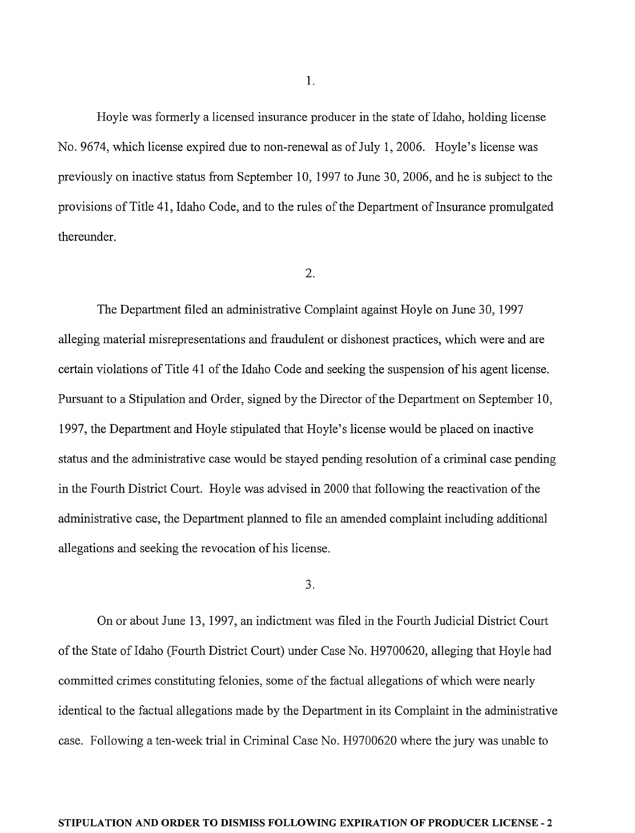Hoyle was formerly a licensed insurance producer in the state of Idaho, holding license No. 9674, which license expired due to non-renewal as of July 1,2006. Hoyle's license was previously on inactive status from September 10, 1997 to June 30, 2006, and he is subject to the provisions of Title 41, Idaho Code, and to the rules of the Department of Insurance promulgated thereunder.

### 2.

The Department filed an administrative Complaint against Hoyle on June 30, 1997 alleging material misrepresentations and fraudulent or dishonest practices, which were and are certain violations of Title 41 of the Idaho Code and seeking the suspension of his agent license. Pursuant to a Stipulation and Order, signed by the Director of the Department on September 10, 1997, the Department and Hoyle stipulated that Hoyle's license would be placed on inactive status and the administrative case would be stayed pending resolution of a criminal case pending in the Fourth District Court. Hoyle was advised in 2000 that following the reactivation of the administrative case, the Department planned to file an amended complaint including additional allegations and seeking the revocation of his license.

### 3.

On or about June 13, 1997, an indictment was filed in the Fourth Judicial District Court of the State of Idaho (Fourth District Court) under Case No. H9700620, alleging that Hoyle had committed crimes constituting felonies, some of the factual allegations of which were nearly identical to the factual allegations made by the Department in its Complaint in the administrative case. Following a ten-week trial in Criminal Case No. H9700620 where the jury was unable to

### **STIPULATION AND ORDER TO DISMISS FOLLOWING EXPIRATION OF PRODUCER LICENSE** - 2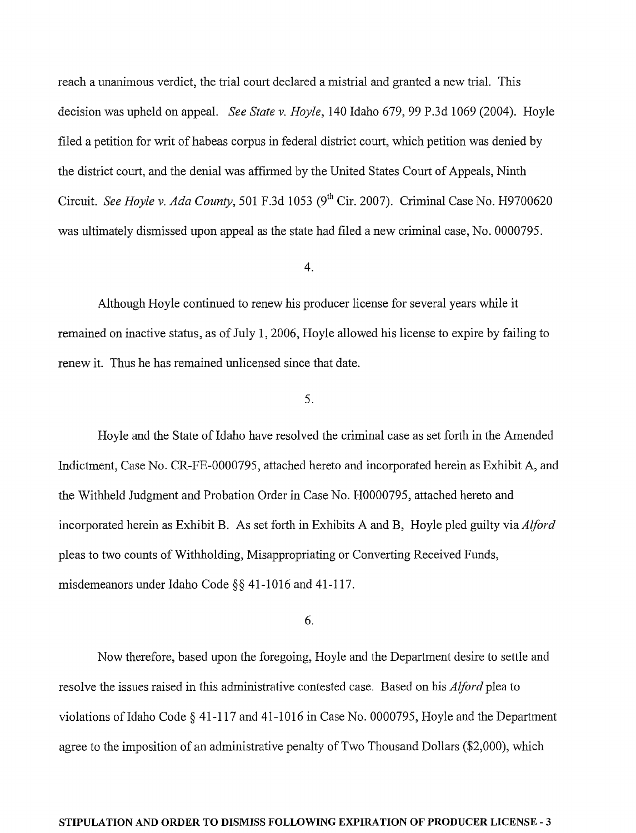reach a unanimous verdict, the trial court declared a mistrial and granted a new trial. This decision was upheld on appeal. *See State* v. *Hoyle,* 140 Idaho 679, 99 P.3d 1069 (2004). Hoyle filed a petition for writ of habeas corpus in federal district court, which petition was denied by the district court, and the denial was affirmed by the United States Court of Appeals, Ninth Circuit. *See Hoyle* v. *Ada County,* 501 F.3d 1053 (9th Cir. 2007). Criminal Case No. H9700620 was ultimately dismissed upon appeal as the state had filed a new criminal case, No. 0000795.

#### 4.

Although Hoyle continued to renew his producer license for several years while it remained on inactive status, as of July 1, 2006, Hoyle allowed his license to expire by failing to renew it. Thus he has remained unlicensed since that date.

### 5.

Hoyle and the State of Idaho have resolved the criminal case as set forth in the Amended Indictment, Case No. CR-FE-0000795, attached hereto and incorporated herein as Exhibit A, and the Withheld Judgment and Probation Order in Case No. H0000795, attached hereto and incorporated herein as Exhibit B. As set forth in Exhibits A and B, Hoyle pled guilty via *Alford*  pleas to two counts of Withholding, Misappropriating or Converting Received Funds, misdemeanors under Idaho Code §§ 41-1016 and 41-117.

### 6.

Now therefore, based upon the foregoing, Hoyle and the Department desire to settle and resolve the issues raised in this administrative contested case. Based on his *Alford* plea to violations of Idaho Code  $\S$  41-117 and 41-1016 in Case No. 0000795, Hoyle and the Department agree to the imposition of an administrative penalty of Two Thousand Dollars (\$2,000), which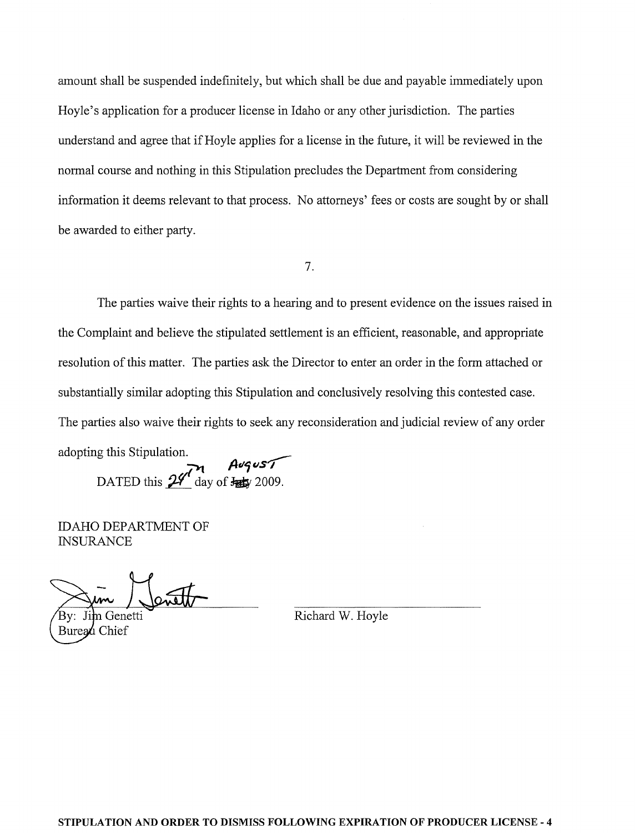amount shall be suspended indefinitely, but which shall be due and payable immediately upon Hoyle's application for a producer license in Idaho or any other jurisdiction. The parties understand and agree that if Hoyle applies for a license in the future, it will be reviewed in the normal course and nothing in this Stipulation precludes the Department from considering information it deems relevant to that process. No attorneys' fees or costs are sought by or shall be awarded to either party.

7.

The parties waive their rights to a hearing and to present evidence on the issues raised in the Complaint and believe the stipulated settlement is an efficient, reasonable, and appropriate resolution of this matter. The parties ask the Director to enter an order in the form attached or substantially similar adopting this Stipulation and conclusively resolving this contested case. The parties also waive their rights to seek any reconsideration and judicial review of any order

adopting this Stipulation. ~ DATED this  $24$  day of  $\frac{\text{A}}{24}$  2009.

IDAHO DEPARTMENT OF **INSURANCE** 

Jim Genetti Buread Chief

Richard W. Hoyle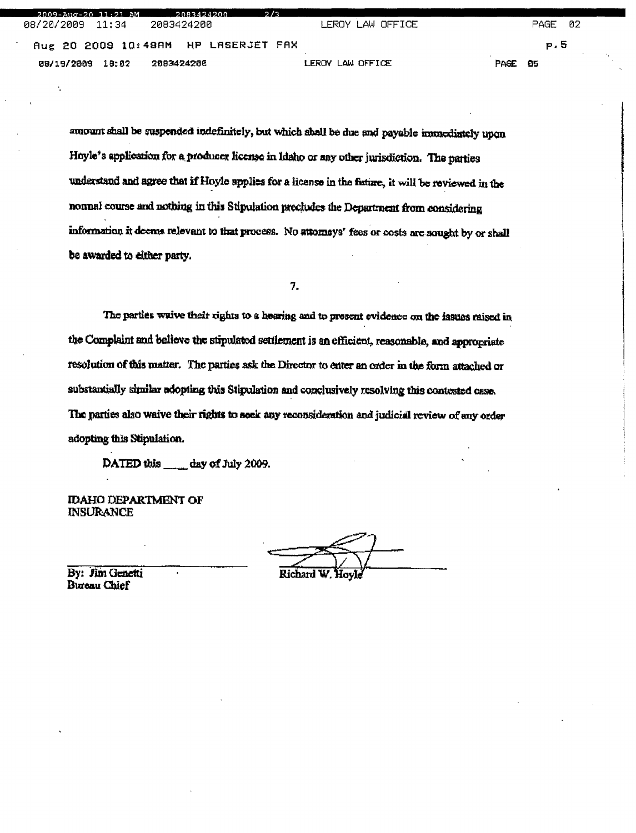PAGE 08/20/2009  $11:34$ 2083424200 LEROY LAW OFFICE 02 p.5 Aug 20 2009 10:48AM HP LASERJET FAX 09/19/2009 10:02 2093424206 LEROY LAW OFFICE PAGE 85

amount shall be suspended indefinitely, but which shall be due and payable immediately upon Hoyle's application for a producer license in Idaho or any other jurisdiction. The parties understand and agree that if Hoyle applies for a license in the future, it will be reviewed in the normal course and nothing in this Stipulation precludes the Department from considering information it deems relevant to that process. No attorneys' fees or costs are sought by or shall be awarded to either party.

7.

The parties waive their rights to a hearing and to present evidence on the issues raised in the Complaint and believe the stipulated settlement is an efficient, reasonable, and appropriate resolution of this matter. The parties ask the Director to enter an order in the form attached or substantially similar adopting this Stipulation and conclusively resolving this contested case. The parties also waive their rights to seek any reconsideration and judicial review of any order adopting this Stipulation.

DATED this day of July 2009.

**IDAHO DEPARTMENT OF INSURANCE** 

Richard W

By: Jim Genetti **Bureau Chief**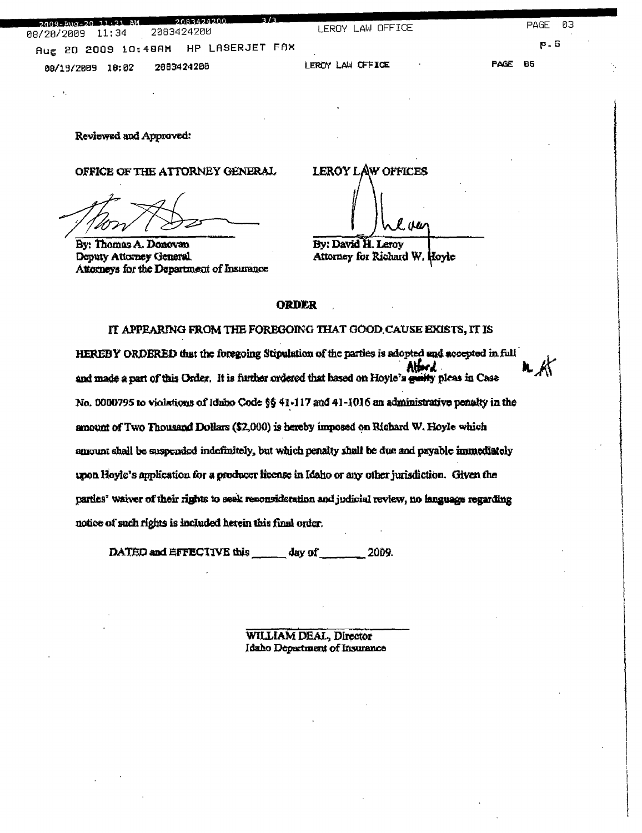| 3/3<br>$2009 - \text{Aug} - 2011.21$ AM $2083424200$ | LEROY LAW OFFICE |                | PAGE 03 |  |
|------------------------------------------------------|------------------|----------------|---------|--|
| Aug 20 2009 10:48AM HP LASERJET FAX                  |                  |                | P - 6   |  |
| 2083424200<br>08/19/2009 10:02                       | LEROY LAW OFFICE | <b>PAGE 06</b> |         |  |

Reviewed and Approved:

OFFICE OF THE ATTORNEY GENERAL

By: Thomas A. Donovan Deputy Attorney General Attorneys for the Department of Insurance

**LEROY LAW OFFICES** . (W By: David H. Leroy

Attorney for Richard W. Hoyle

#### **ORDER**

IT APPEARING FROM THE FOREGOING THAT GOOD CAUSE EXISTS, IT IS HEREBY ORDERED that the foregoing Stipulation of the parties is adopted and accepted in full and made a part of this Order. It is further ordered that based on Hoyle's guilty pleas in Case No. 0000795 to violations of Idaho Code §§ 41-117 and 41-1016 an administrative penalty in the amount of Two Thousand Dollars (\$2,000) is hereby imposed on Richard W. Hoyle which amount shall be suspended indefinitely, but which penalty shall be due and payable immediately upon Hoyle's application for a producer license in Idaho or any other jurisdiction. Given the parties' waiver of their rights to seek reconsideration and judicial review, no language regarding notice of such rights is included herein this final order.

DATED and EFFECTIVE this day of 2009.

> WILLIAM DEAL, Director Idaho Department of Insurance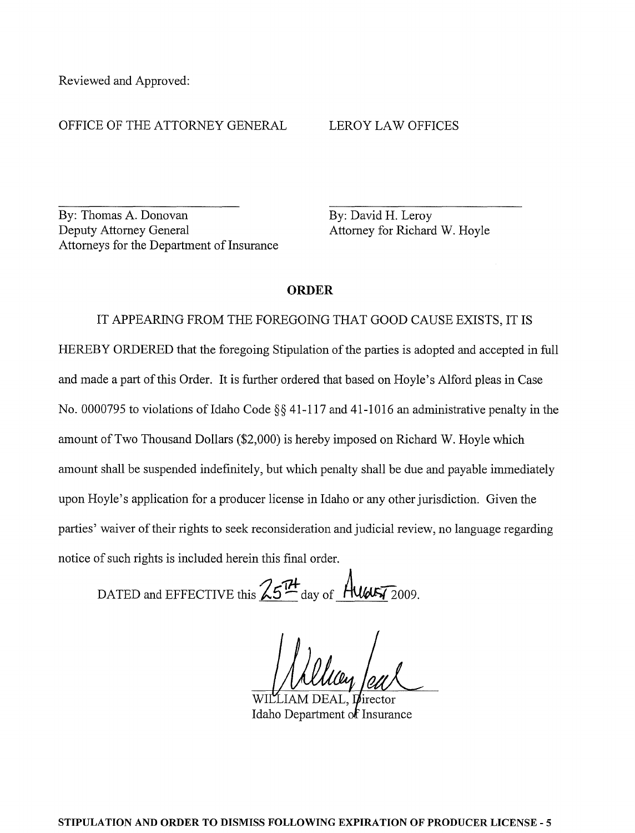Reviewed and Approved:

### OFFICE OF THE ATTORNEY GENERAL

#### LEROY LAW OFFICES

By: Thomas A. Donovan Deputy Attorney General Attorneys for the Department of Insurance By: David H. Leroy Attorney for Richard W. Hoyle

### **ORDER**

IT APPEARING FROM THE FOREGOING THAT GOOD CAUSE EXISTS, IT IS HEREBY ORDERED that the foregoing Stipulation of the parties is adopted and accepted in full and made a part of this Order. It is further ordered that based on Hoyle's Alford pleas in Case No. 0000795 to violations of Idaho Code  $\S$ § 41-117 and 41-1016 an administrative penalty in the amount of Two Thousand Dollars (\$2,000) is hereby imposed on Richard W. Hoyle which amount shall be suspended indefinitely, but which penalty shall be due and payable immediately upon Hoyle's application for a producer license in Idaho or any other jurisdiction. Given the parties' waiver of their rights to seek reconsideration and judicial review, no language regarding notice of such rights is included herein this final order.

DATED and EFFECTIVE this  $25<sup>7</sup>$  day of  $40057$  2009.

Idaho Department of Insurance